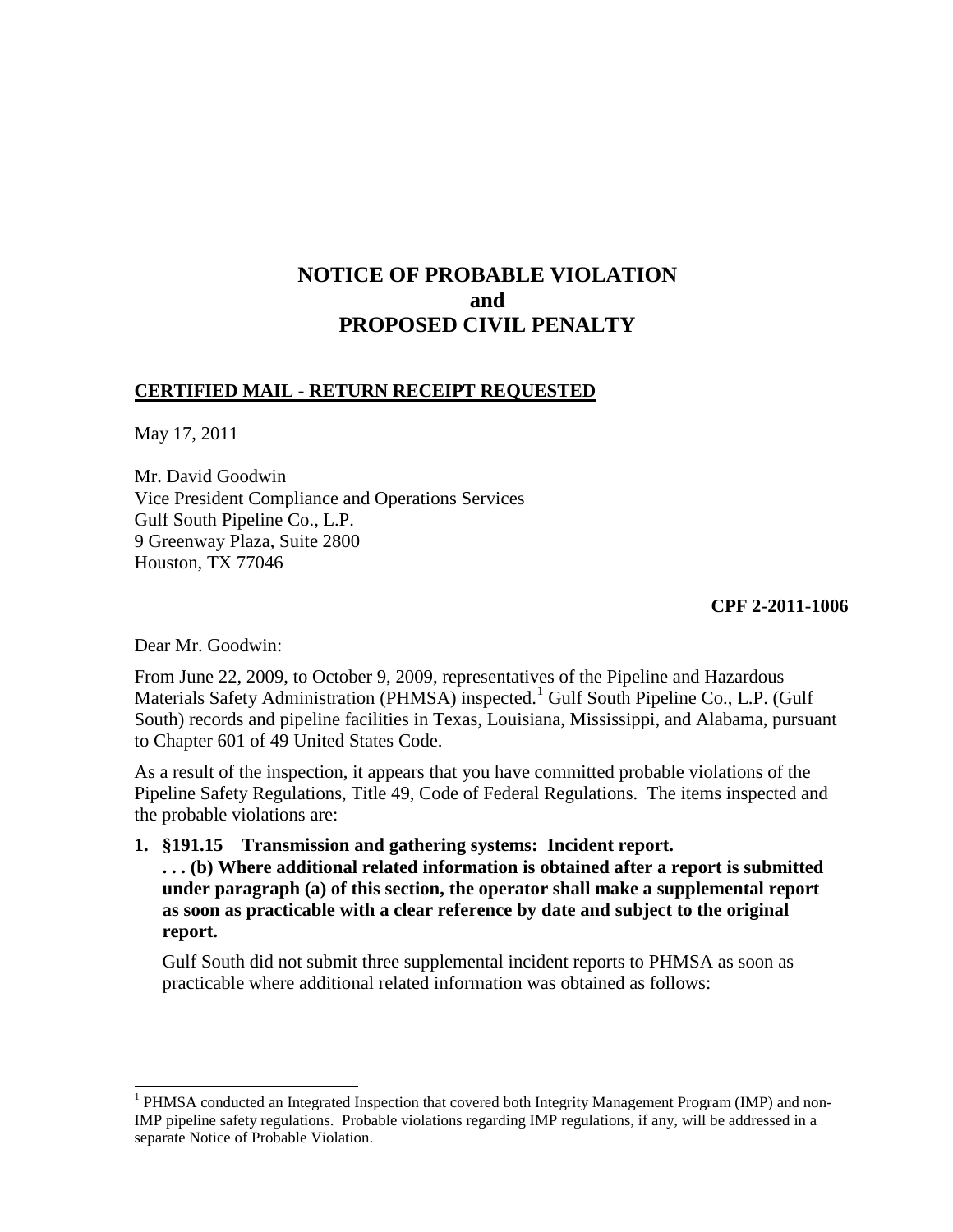# **NOTICE OF PROBABLE VIOLATION and PROPOSED CIVIL PENALTY**

#### **CERTIFIED MAIL - RETURN RECEIPT REQUESTED**

May 17, 2011

Mr. David Goodwin Vice President Compliance and Operations Services Gulf South Pipeline Co., L.P. 9 Greenway Plaza, Suite 2800 Houston, TX 77046

**CPF 2-2011-1006**

Dear Mr. Goodwin:

From June 22, 2009, to October 9, 2009, representatives of the Pipeline and Hazardous Materials Safety Administration (PHMSA) inspected.<sup>[1](#page-0-0)</sup> Gulf South Pipeline Co., L.P. (Gulf South) records and pipeline facilities in Texas, Louisiana, Mississippi, and Alabama, pursuant to Chapter 601 of 49 United States Code.

As a result of the inspection, it appears that you have committed probable violations of the Pipeline Safety Regulations, Title 49, Code of Federal Regulations. The items inspected and the probable violations are:

**1. §191.15 Transmission and gathering systems: Incident report. . . . (b) Where additional related information is obtained after a report is submitted under paragraph (a) of this section, the operator shall make a supplemental report as soon as practicable with a clear reference by date and subject to the original report.**

Gulf South did not submit three supplemental incident reports to PHMSA as soon as practicable where additional related information was obtained as follows:

<span id="page-0-0"></span><sup>&</sup>lt;sup>1</sup> PHMSA conducted an Integrated Inspection that covered both Integrity Management Program (IMP) and non-IMP pipeline safety regulations. Probable violations regarding IMP regulations, if any, will be addressed in a separate Notice of Probable Violation.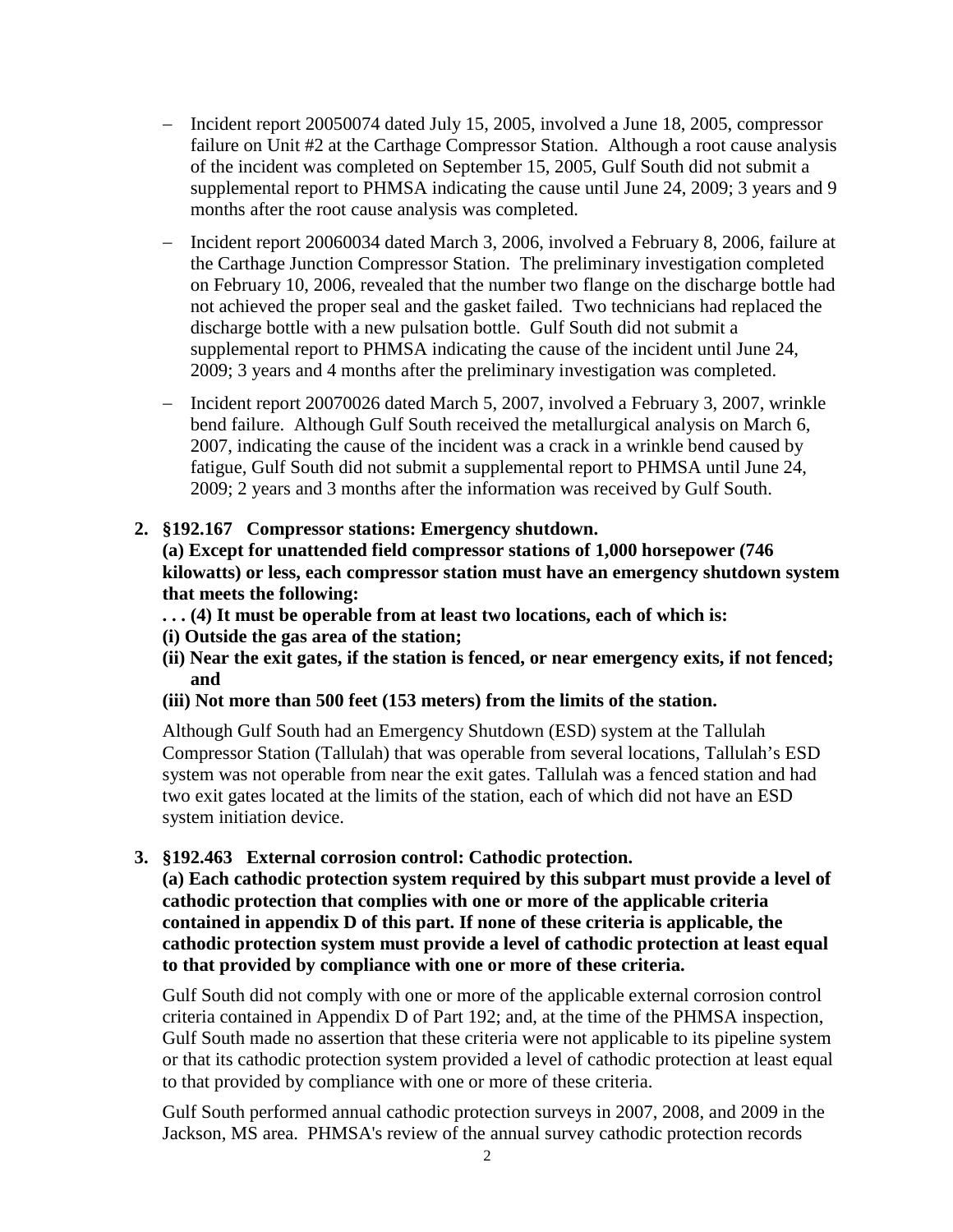- − Incident report 20050074 dated July 15, 2005, involved a June 18, 2005, compressor failure on Unit #2 at the Carthage Compressor Station. Although a root cause analysis of the incident was completed on September 15, 2005, Gulf South did not submit a supplemental report to PHMSA indicating the cause until June 24, 2009; 3 years and 9 months after the root cause analysis was completed.
- − Incident report 20060034 dated March 3, 2006, involved a February 8, 2006, failure at the Carthage Junction Compressor Station. The preliminary investigation completed on February 10, 2006, revealed that the number two flange on the discharge bottle had not achieved the proper seal and the gasket failed. Two technicians had replaced the discharge bottle with a new pulsation bottle. Gulf South did not submit a supplemental report to PHMSA indicating the cause of the incident until June 24, 2009; 3 years and 4 months after the preliminary investigation was completed.
- − Incident report 20070026 dated March 5, 2007, involved a February 3, 2007, wrinkle bend failure. Although Gulf South received the metallurgical analysis on March 6, 2007, indicating the cause of the incident was a crack in a wrinkle bend caused by fatigue, Gulf South did not submit a supplemental report to PHMSA until June 24, 2009; 2 years and 3 months after the information was received by Gulf South.

# **2. §192.167 Compressor stations: Emergency shutdown.**

**(a) Except for unattended field compressor stations of 1,000 horsepower (746 kilowatts) or less, each compressor station must have an emergency shutdown system that meets the following:**

- **. . . (4) It must be operable from at least two locations, each of which is:**
- **(i) Outside the gas area of the station;**
- **(ii) Near the exit gates, if the station is fenced, or near emergency exits, if not fenced; and**
- **(iii) Not more than 500 feet (153 meters) from the limits of the station.**

Although Gulf South had an Emergency Shutdown (ESD) system at the Tallulah Compressor Station (Tallulah) that was operable from several locations, Tallulah's ESD system was not operable from near the exit gates. Tallulah was a fenced station and had two exit gates located at the limits of the station, each of which did not have an ESD system initiation device.

# **3. §192.463 External corrosion control: Cathodic protection.**

**(a) Each cathodic protection system required by this subpart must provide a level of cathodic protection that complies with one or more of the applicable criteria contained in appendix D of this part. If none of these criteria is applicable, the cathodic protection system must provide a level of cathodic protection at least equal to that provided by compliance with one or more of these criteria.**

Gulf South did not comply with one or more of the applicable external corrosion control criteria contained in Appendix D of Part 192; and, at the time of the PHMSA inspection, Gulf South made no assertion that these criteria were not applicable to its pipeline system or that its cathodic protection system provided a level of cathodic protection at least equal to that provided by compliance with one or more of these criteria.

Gulf South performed annual cathodic protection surveys in 2007, 2008, and 2009 in the Jackson, MS area. PHMSA's review of the annual survey cathodic protection records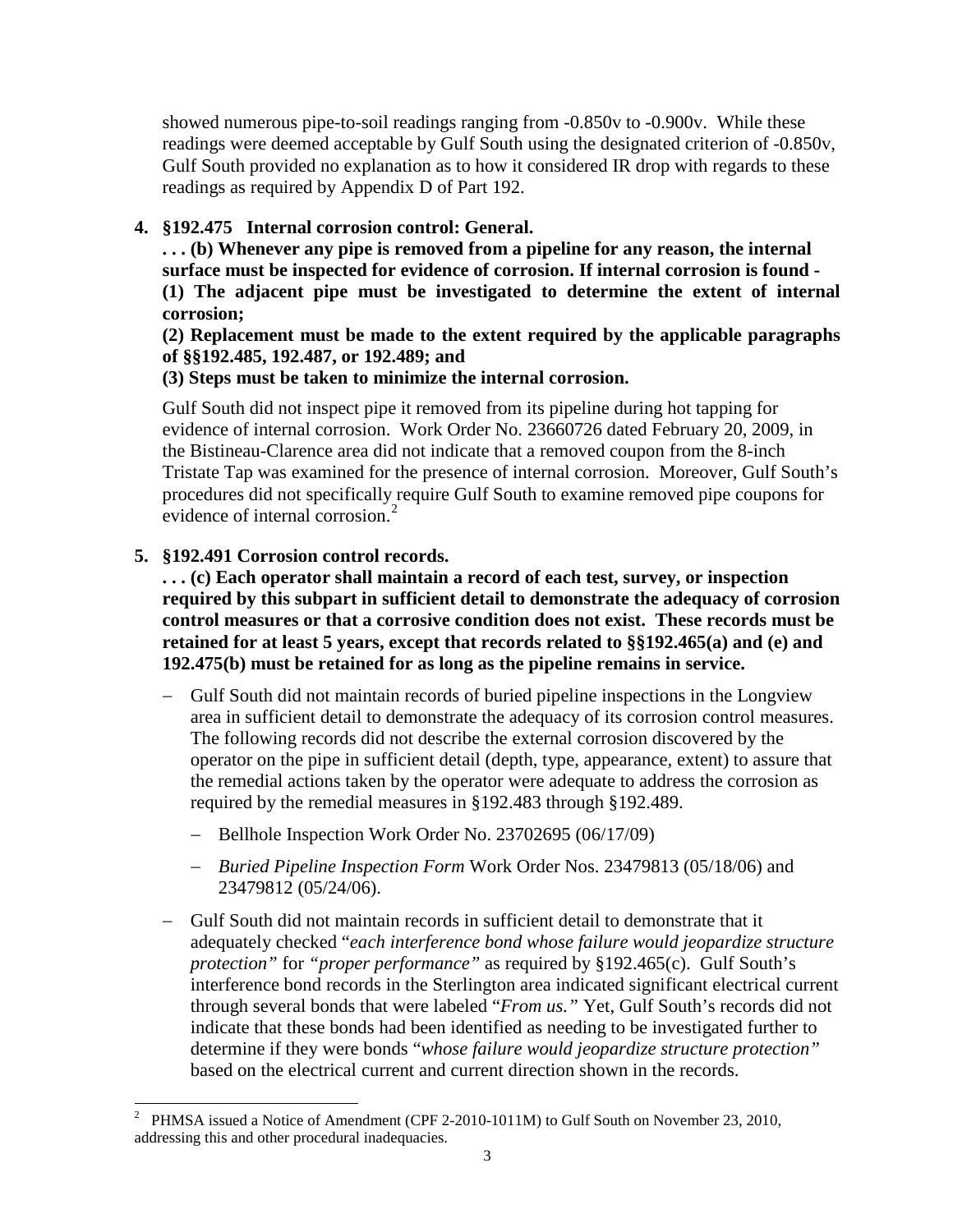showed numerous pipe-to-soil readings ranging from -0.850v to -0.900v. While these readings were deemed acceptable by Gulf South using the designated criterion of -0.850v, Gulf South provided no explanation as to how it considered IR drop with regards to these readings as required by Appendix D of Part 192.

# **4. §192.475 Internal corrosion control: General.**

**. . . (b) Whenever any pipe is removed from a pipeline for any reason, the internal surface must be inspected for evidence of corrosion. If internal corrosion is found -**

**(1) The adjacent pipe must be investigated to determine the extent of internal corrosion;**

**(2) Replacement must be made to the extent required by the applicable paragraphs of §§192.485, 192.487, or 192.489; and**

# **(3) Steps must be taken to minimize the internal corrosion.**

Gulf South did not inspect pipe it removed from its pipeline during hot tapping for evidence of internal corrosion. Work Order No. 23660726 dated February 20, 2009, in the Bistineau-Clarence area did not indicate that a removed coupon from the 8-inch Tristate Tap was examined for the presence of internal corrosion. Moreover, Gulf South's procedures did not specifically require Gulf South to examine removed pipe coupons for evidence of internal corrosion.<sup>[2](#page-2-0)</sup>

# **5. §192.491 Corrosion control records.**

**. . . (c) Each operator shall maintain a record of each test, survey, or inspection required by this subpart in sufficient detail to demonstrate the adequacy of corrosion control measures or that a corrosive condition does not exist. These records must be retained for at least 5 years, except that records related to §§192.465(a) and (e) and 192.475(b) must be retained for as long as the pipeline remains in service.** 

- − Gulf South did not maintain records of buried pipeline inspections in the Longview area in sufficient detail to demonstrate the adequacy of its corrosion control measures. The following records did not describe the external corrosion discovered by the operator on the pipe in sufficient detail (depth, type, appearance, extent) to assure that the remedial actions taken by the operator were adequate to address the corrosion as required by the remedial measures in §192.483 through §192.489.
	- − Bellhole Inspection Work Order No. 23702695 (06/17/09)
	- − *Buried Pipeline Inspection Form* Work Order Nos. 23479813 (05/18/06) and 23479812 (05/24/06).
- − Gulf South did not maintain records in sufficient detail to demonstrate that it adequately checked "*each interference bond whose failure would jeopardize structure protection"* for *"proper performance"* as required by §192.465(c). Gulf South's interference bond records in the Sterlington area indicated significant electrical current through several bonds that were labeled "*From us."* Yet, Gulf South's records did not indicate that these bonds had been identified as needing to be investigated further to determine if they were bonds "*whose failure would jeopardize structure protection"* based on the electrical current and current direction shown in the records.

<span id="page-2-0"></span><sup>&</sup>lt;sup>2</sup> PHMSA issued a Notice of Amendment (CPF 2-2010-1011M) to Gulf South on November 23, 2010, addressing this and other procedural inadequacies.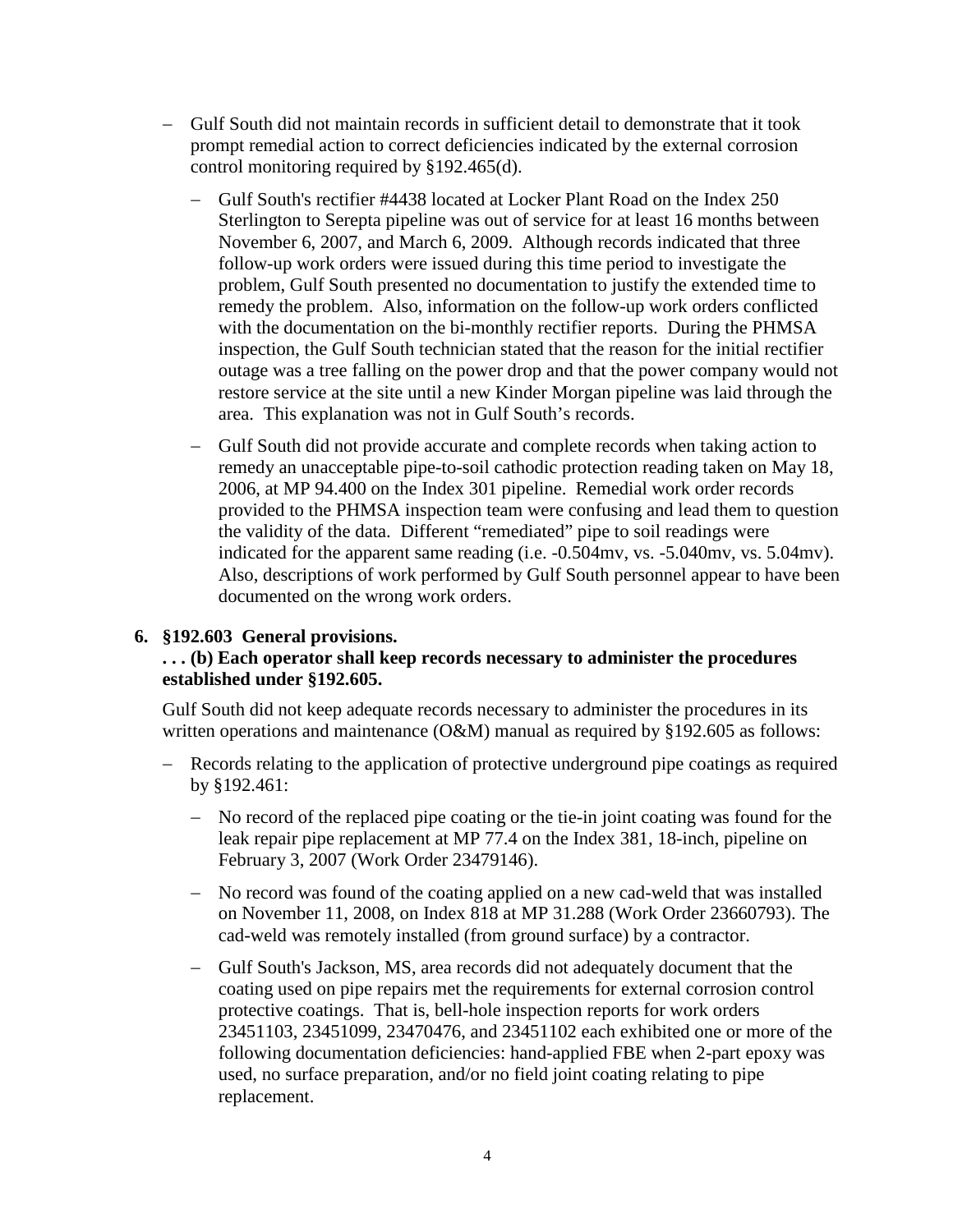- − Gulf South did not maintain records in sufficient detail to demonstrate that it took prompt remedial action to correct deficiencies indicated by the external corrosion control monitoring required by §192.465(d).
	- − Gulf South's rectifier #4438 located at Locker Plant Road on the Index 250 Sterlington to Serepta pipeline was out of service for at least 16 months between November 6, 2007, and March 6, 2009. Although records indicated that three follow-up work orders were issued during this time period to investigate the problem, Gulf South presented no documentation to justify the extended time to remedy the problem. Also, information on the follow-up work orders conflicted with the documentation on the bi-monthly rectifier reports. During the PHMSA inspection, the Gulf South technician stated that the reason for the initial rectifier outage was a tree falling on the power drop and that the power company would not restore service at the site until a new Kinder Morgan pipeline was laid through the area. This explanation was not in Gulf South's records.
	- − Gulf South did not provide accurate and complete records when taking action to remedy an unacceptable pipe-to-soil cathodic protection reading taken on May 18, 2006, at MP 94.400 on the Index 301 pipeline. Remedial work order records provided to the PHMSA inspection team were confusing and lead them to question the validity of the data. Different "remediated" pipe to soil readings were indicated for the apparent same reading (i.e. -0.504mv, vs. -5.040mv, vs. 5.04mv). Also, descriptions of work performed by Gulf South personnel appear to have been documented on the wrong work orders.

#### **6. §192.603 General provisions.**

# **. . . (b) Each operator shall keep records necessary to administer the procedures established under §192.605.**

Gulf South did not keep adequate records necessary to administer the procedures in its written operations and maintenance (O&M) manual as required by §192.605 as follows:

- Records relating to the application of protective underground pipe coatings as required by §192.461:
	- − No record of the replaced pipe coating or the tie-in joint coating was found for the leak repair pipe replacement at MP 77.4 on the Index 381, 18-inch, pipeline on February 3, 2007 (Work Order 23479146).
	- − No record was found of the coating applied on a new cad-weld that was installed on November 11, 2008, on Index 818 at MP 31.288 (Work Order 23660793). The cad-weld was remotely installed (from ground surface) by a contractor.
	- − Gulf South's Jackson, MS, area records did not adequately document that the coating used on pipe repairs met the requirements for external corrosion control protective coatings. That is, bell-hole inspection reports for work orders 23451103, 23451099, 23470476, and 23451102 each exhibited one or more of the following documentation deficiencies: hand-applied FBE when 2-part epoxy was used, no surface preparation, and/or no field joint coating relating to pipe replacement.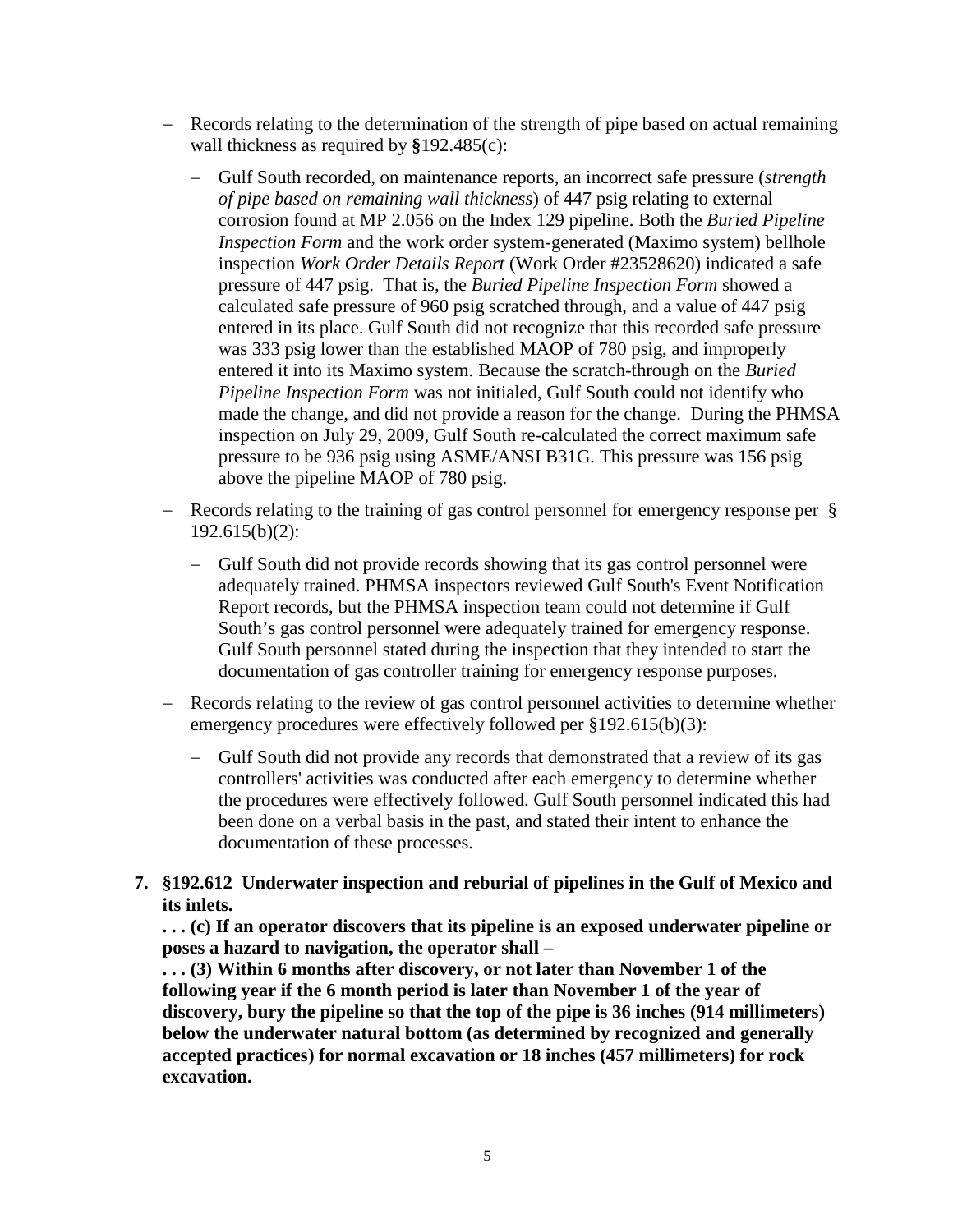- − Records relating to the determination of the strength of pipe based on actual remaining wall thickness as required by **§**192.485(c):
	- − Gulf South recorded, on maintenance reports, an incorrect safe pressure (*strength of pipe based on remaining wall thickness*) of 447 psig relating to external corrosion found at MP 2.056 on the Index 129 pipeline. Both the *Buried Pipeline Inspection Form* and the work order system-generated (Maximo system) bellhole inspection *Work Order Details Report* (Work Order #23528620) indicated a safe pressure of 447 psig. That is, the *Buried Pipeline Inspection Form* showed a calculated safe pressure of 960 psig scratched through, and a value of 447 psig entered in its place. Gulf South did not recognize that this recorded safe pressure was 333 psig lower than the established MAOP of 780 psig, and improperly entered it into its Maximo system. Because the scratch-through on the *Buried Pipeline Inspection Form* was not initialed, Gulf South could not identify who made the change, and did not provide a reason for the change. During the PHMSA inspection on July 29, 2009, Gulf South re-calculated the correct maximum safe pressure to be 936 psig using ASME/ANSI B31G. This pressure was 156 psig above the pipeline MAOP of 780 psig.
- Records relating to the training of gas control personnel for emergency response per § 192.615(b)(2):
	- − Gulf South did not provide records showing that its gas control personnel were adequately trained. PHMSA inspectors reviewed Gulf South's Event Notification Report records, but the PHMSA inspection team could not determine if Gulf South's gas control personnel were adequately trained for emergency response. Gulf South personnel stated during the inspection that they intended to start the documentation of gas controller training for emergency response purposes.
- Records relating to the review of gas control personnel activities to determine whether emergency procedures were effectively followed per §192.615(b)(3):
	- − Gulf South did not provide any records that demonstrated that a review of its gas controllers' activities was conducted after each emergency to determine whether the procedures were effectively followed. Gulf South personnel indicated this had been done on a verbal basis in the past, and stated their intent to enhance the documentation of these processes.
- **7. §192.612 Underwater inspection and reburial of pipelines in the Gulf of Mexico and its inlets.**

**. . . (c) If an operator discovers that its pipeline is an exposed underwater pipeline or poses a hazard to navigation, the operator shall –**

**. . . (3) Within 6 months after discovery, or not later than November 1 of the following year if the 6 month period is later than November 1 of the year of discovery, bury the pipeline so that the top of the pipe is 36 inches (914 millimeters) below the underwater natural bottom (as determined by recognized and generally accepted practices) for normal excavation or 18 inches (457 millimeters) for rock excavation.**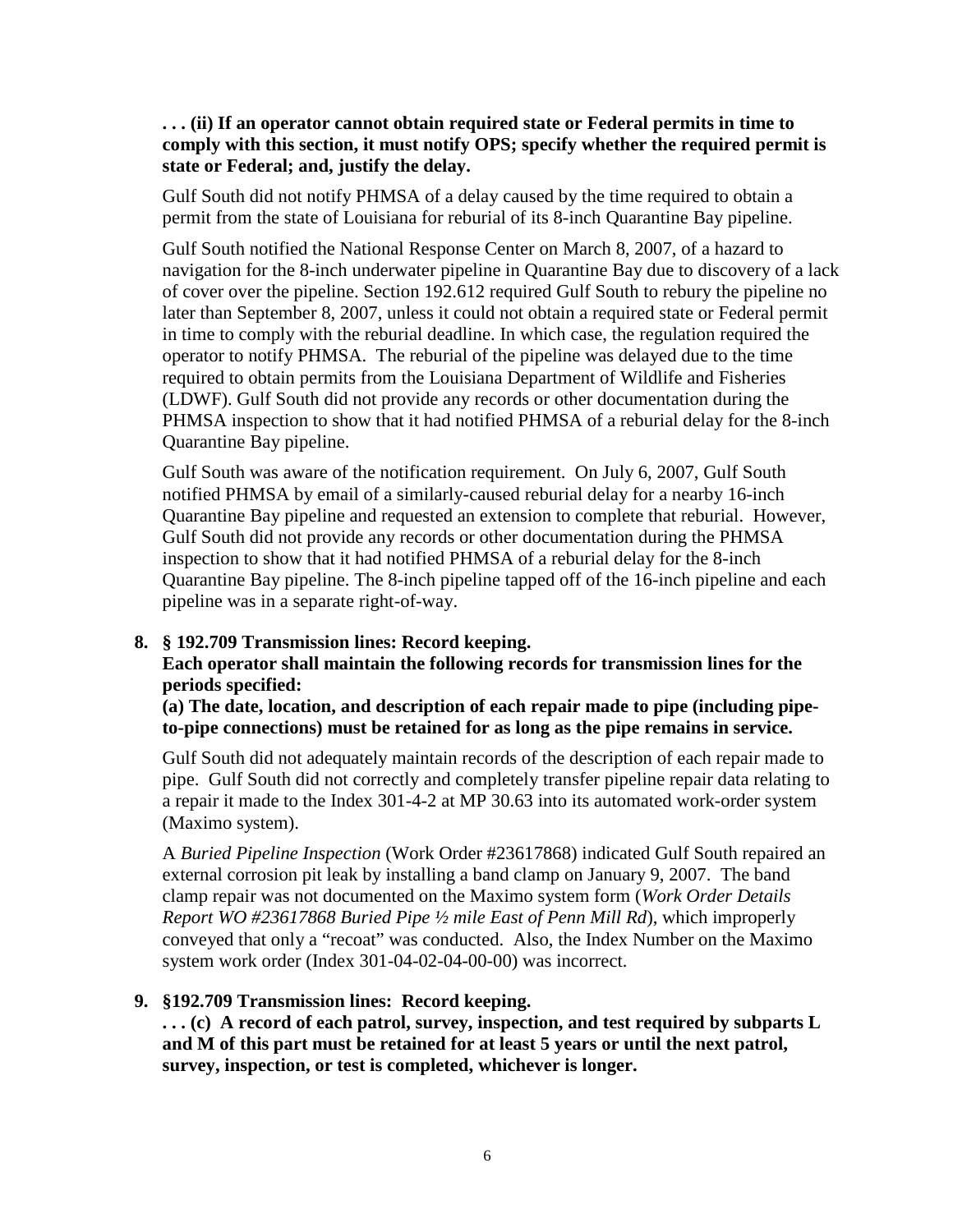**. . . (ii) If an operator cannot obtain required state or Federal permits in time to comply with this section, it must notify OPS; specify whether the required permit is state or Federal; and, justify the delay.**

Gulf South did not notify PHMSA of a delay caused by the time required to obtain a permit from the state of Louisiana for reburial of its 8-inch Quarantine Bay pipeline.

Gulf South notified the National Response Center on March 8, 2007, of a hazard to navigation for the 8-inch underwater pipeline in Quarantine Bay due to discovery of a lack of cover over the pipeline. Section 192.612 required Gulf South to rebury the pipeline no later than September 8, 2007, unless it could not obtain a required state or Federal permit in time to comply with the reburial deadline. In which case, the regulation required the operator to notify PHMSA. The reburial of the pipeline was delayed due to the time required to obtain permits from the Louisiana Department of Wildlife and Fisheries (LDWF). Gulf South did not provide any records or other documentation during the PHMSA inspection to show that it had notified PHMSA of a reburial delay for the 8-inch Quarantine Bay pipeline.

Gulf South was aware of the notification requirement. On July 6, 2007, Gulf South notified PHMSA by email of a similarly-caused reburial delay for a nearby 16-inch Quarantine Bay pipeline and requested an extension to complete that reburial. However, Gulf South did not provide any records or other documentation during the PHMSA inspection to show that it had notified PHMSA of a reburial delay for the 8-inch Quarantine Bay pipeline. The 8-inch pipeline tapped off of the 16-inch pipeline and each pipeline was in a separate right-of-way.

#### **8. § 192.709 Transmission lines: Record keeping.**

**Each operator shall maintain the following records for transmission lines for the periods specified:**

**(a) The date, location, and description of each repair made to pipe (including pipeto-pipe connections) must be retained for as long as the pipe remains in service.**

Gulf South did not adequately maintain records of the description of each repair made to pipe. Gulf South did not correctly and completely transfer pipeline repair data relating to a repair it made to the Index 301-4-2 at MP 30.63 into its automated work-order system (Maximo system).

A *Buried Pipeline Inspection* (Work Order #23617868) indicated Gulf South repaired an external corrosion pit leak by installing a band clamp on January 9, 2007. The band clamp repair was not documented on the Maximo system form (*Work Order Details Report WO #23617868 Buried Pipe ½ mile East of Penn Mill Rd*), which improperly conveyed that only a "recoat" was conducted. Also, the Index Number on the Maximo system work order (Index 301-04-02-04-00-00) was incorrect.

# **9. §192.709 Transmission lines: Record keeping.**

**. . . (c) A record of each patrol, survey, inspection, and test required by subparts L and M of this part must be retained for at least 5 years or until the next patrol, survey, inspection, or test is completed, whichever is longer.**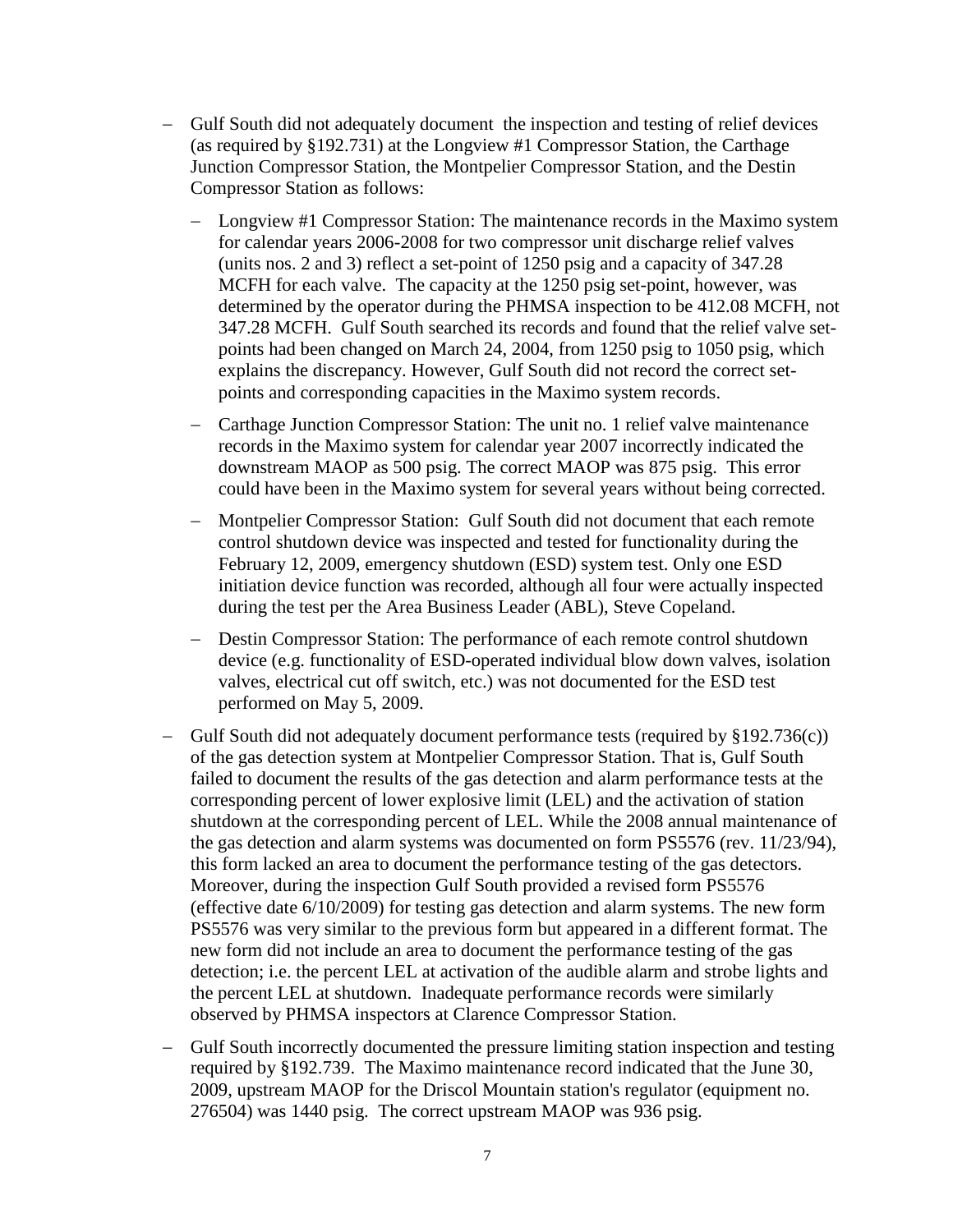- − Gulf South did not adequately document the inspection and testing of relief devices (as required by §192.731) at the Longview #1 Compressor Station, the Carthage Junction Compressor Station, the Montpelier Compressor Station, and the Destin Compressor Station as follows:
	- − Longview #1 Compressor Station: The maintenance records in the Maximo system for calendar years 2006-2008 for two compressor unit discharge relief valves (units nos. 2 and 3) reflect a set-point of 1250 psig and a capacity of 347.28 MCFH for each valve. The capacity at the 1250 psig set-point, however, was determined by the operator during the PHMSA inspection to be 412.08 MCFH, not 347.28 MCFH. Gulf South searched its records and found that the relief valve setpoints had been changed on March 24, 2004, from 1250 psig to 1050 psig, which explains the discrepancy. However, Gulf South did not record the correct setpoints and corresponding capacities in the Maximo system records.
	- − Carthage Junction Compressor Station: The unit no. 1 relief valve maintenance records in the Maximo system for calendar year 2007 incorrectly indicated the downstream MAOP as 500 psig. The correct MAOP was 875 psig. This error could have been in the Maximo system for several years without being corrected.
	- − Montpelier Compressor Station: Gulf South did not document that each remote control shutdown device was inspected and tested for functionality during the February 12, 2009, emergency shutdown (ESD) system test. Only one ESD initiation device function was recorded, although all four were actually inspected during the test per the Area Business Leader (ABL), Steve Copeland.
	- − Destin Compressor Station: The performance of each remote control shutdown device (e.g. functionality of ESD-operated individual blow down valves, isolation valves, electrical cut off switch, etc.) was not documented for the ESD test performed on May 5, 2009.
- Gulf South did not adequately document performance tests (required by  $\S 192.736(c)$ ) of the gas detection system at Montpelier Compressor Station. That is, Gulf South failed to document the results of the gas detection and alarm performance tests at the corresponding percent of lower explosive limit (LEL) and the activation of station shutdown at the corresponding percent of LEL. While the 2008 annual maintenance of the gas detection and alarm systems was documented on form PS5576 (rev. 11/23/94), this form lacked an area to document the performance testing of the gas detectors. Moreover, during the inspection Gulf South provided a revised form PS5576 (effective date 6/10/2009) for testing gas detection and alarm systems. The new form PS5576 was very similar to the previous form but appeared in a different format. The new form did not include an area to document the performance testing of the gas detection; i.e. the percent LEL at activation of the audible alarm and strobe lights and the percent LEL at shutdown. Inadequate performance records were similarly observed by PHMSA inspectors at Clarence Compressor Station.
- − Gulf South incorrectly documented the pressure limiting station inspection and testing required by §192.739. The Maximo maintenance record indicated that the June 30, 2009, upstream MAOP for the Driscol Mountain station's regulator (equipment no. 276504) was 1440 psig. The correct upstream MAOP was 936 psig.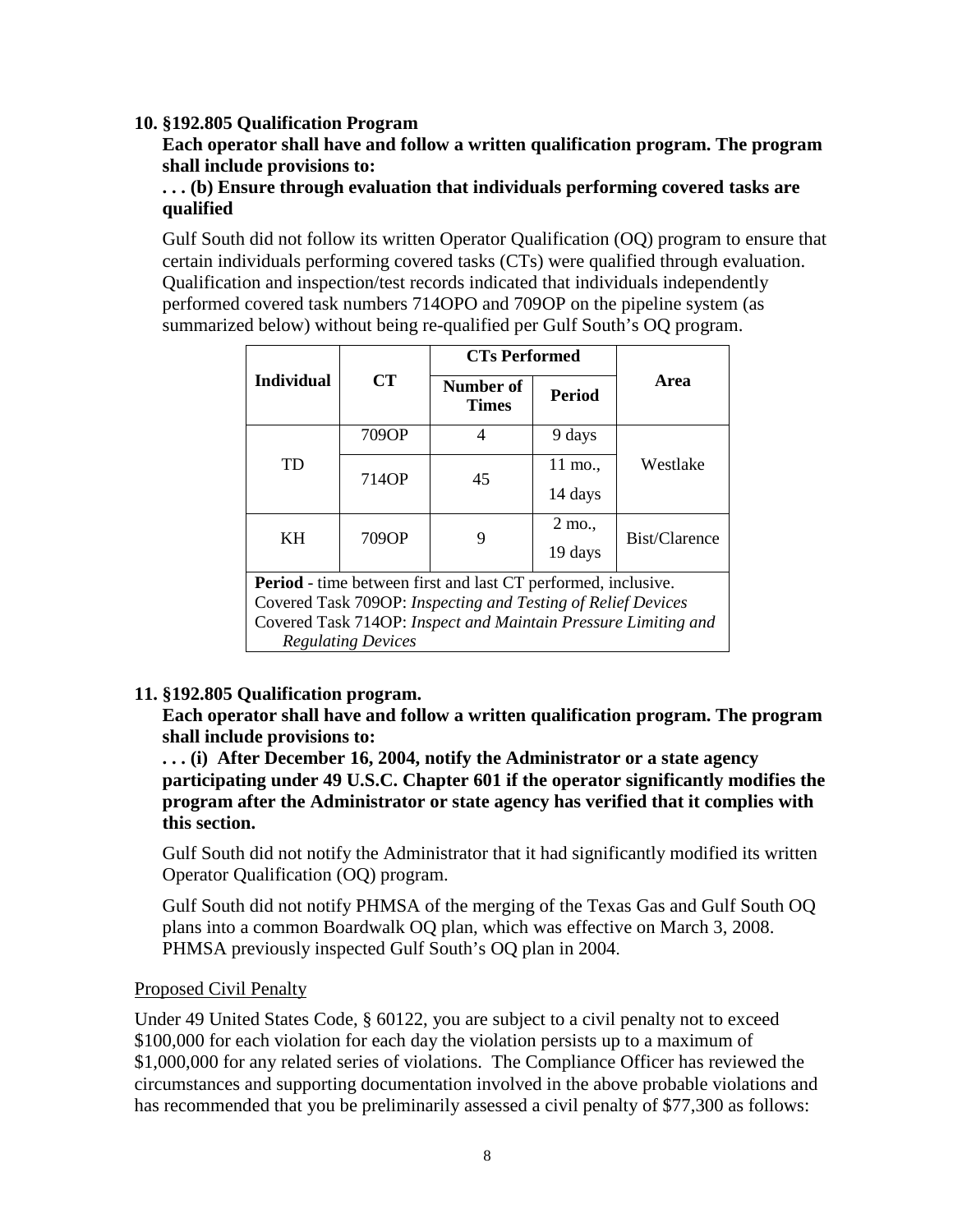#### **10. §192.805 Qualification Program**

**Each operator shall have and follow a written qualification program. The program shall include provisions to:**

#### **. . . (b) Ensure through evaluation that individuals performing covered tasks are qualified**

Gulf South did not follow its written Operator Qualification (OQ) program to ensure that certain individuals performing covered tasks (CTs) were qualified through evaluation. Qualification and inspection/test records indicated that individuals independently performed covered task numbers 714OPO and 709OP on the pipeline system (as summarized below) without being re-qualified per Gulf South's OQ program.

|                                                                      | CT    | <b>CTs Performed</b>      |               |               |  |
|----------------------------------------------------------------------|-------|---------------------------|---------------|---------------|--|
| <b>Individual</b>                                                    |       | Number of<br><b>Times</b> | <b>Period</b> | Area          |  |
| <b>TD</b>                                                            | 709OP | 4                         | 9 days        | Westlake      |  |
|                                                                      | 714OP | 45                        | 11 mo.,       |               |  |
|                                                                      |       |                           | 14 days       |               |  |
| KH                                                                   | 709OP | 9                         | 2 mo.,        | Bist/Clarence |  |
|                                                                      |       |                           | 19 days       |               |  |
| <b>Period</b> - time between first and last CT performed, inclusive. |       |                           |               |               |  |
| Covered Task 709OP: Inspecting and Testing of Relief Devices         |       |                           |               |               |  |
| Covered Task 714OP: Inspect and Maintain Pressure Limiting and       |       |                           |               |               |  |
| <b>Regulating Devices</b>                                            |       |                           |               |               |  |

# **11. §192.805 Qualification program.**

**Each operator shall have and follow a written qualification program. The program shall include provisions to:**

**. . . (i) After December 16, 2004, notify the Administrator or a state agency participating under 49 U.S.C. Chapter 601 if the operator significantly modifies the program after the Administrator or state agency has verified that it complies with this section.**

Gulf South did not notify the Administrator that it had significantly modified its written Operator Qualification (OQ) program.

Gulf South did not notify PHMSA of the merging of the Texas Gas and Gulf South OQ plans into a common Boardwalk OQ plan, which was effective on March 3, 2008. PHMSA previously inspected Gulf South's OQ plan in 2004.

#### Proposed Civil Penalty

Under 49 United States Code, § 60122, you are subject to a civil penalty not to exceed \$100,000 for each violation for each day the violation persists up to a maximum of \$1,000,000 for any related series of violations. The Compliance Officer has reviewed the circumstances and supporting documentation involved in the above probable violations and has recommended that you be preliminarily assessed a civil penalty of \$77,300 as follows: